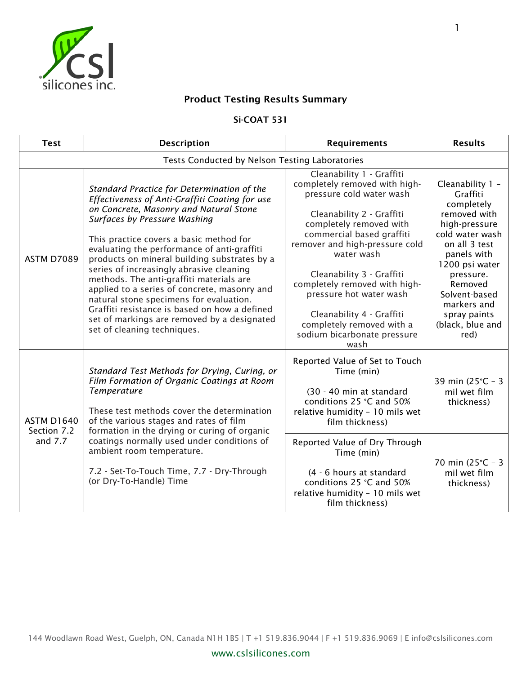

## Product Testing Results Summary

## Si-COAT 531

| <b>Test</b>                                    | <b>Description</b>                                                                                                                                                                                                                                                                                                                                                                                                                                                                                                                                                                                                                 | <b>Requirements</b>                                                                                                                                                                                                                                                                                                                                                                                                   | <b>Results</b>                                                                                                                                                                                                                                       |  |  |  |
|------------------------------------------------|------------------------------------------------------------------------------------------------------------------------------------------------------------------------------------------------------------------------------------------------------------------------------------------------------------------------------------------------------------------------------------------------------------------------------------------------------------------------------------------------------------------------------------------------------------------------------------------------------------------------------------|-----------------------------------------------------------------------------------------------------------------------------------------------------------------------------------------------------------------------------------------------------------------------------------------------------------------------------------------------------------------------------------------------------------------------|------------------------------------------------------------------------------------------------------------------------------------------------------------------------------------------------------------------------------------------------------|--|--|--|
| Tests Conducted by Nelson Testing Laboratories |                                                                                                                                                                                                                                                                                                                                                                                                                                                                                                                                                                                                                                    |                                                                                                                                                                                                                                                                                                                                                                                                                       |                                                                                                                                                                                                                                                      |  |  |  |
| <b>ASTM D7089</b>                              | Standard Practice for Determination of the<br>Effectiveness of Anti-Graffiti Coating for use<br>on Concrete, Masonry and Natural Stone<br>Surfaces by Pressure Washing<br>This practice covers a basic method for<br>evaluating the performance of anti-graffiti<br>products on mineral building substrates by a<br>series of increasingly abrasive cleaning<br>methods. The anti-graffiti materials are<br>applied to a series of concrete, masonry and<br>natural stone specimens for evaluation.<br>Graffiti resistance is based on how a defined<br>set of markings are removed by a designated<br>set of cleaning techniques. | Cleanability 1 - Graffiti<br>completely removed with high-<br>pressure cold water wash<br>Cleanability 2 - Graffiti<br>completely removed with<br>commercial based graffiti<br>remover and high-pressure cold<br>water wash<br>Cleanability 3 - Graffiti<br>completely removed with high-<br>pressure hot water wash<br>Cleanability 4 - Graffiti<br>completely removed with a<br>sodium bicarbonate pressure<br>wash | Cleanability 1 -<br>Graffiti<br>completely<br>removed with<br>high-pressure<br>cold water wash<br>on all 3 test<br>panels with<br>1200 psi water<br>pressure.<br>Removed<br>Solvent-based<br>markers and<br>spray paints<br>(black, blue and<br>red) |  |  |  |
| <b>ASTM D1640</b><br>Section 7.2<br>and $7.7$  | Standard Test Methods for Drying, Curing, or<br>Film Formation of Organic Coatings at Room<br><b>Temperature</b><br>These test methods cover the determination<br>of the various stages and rates of film<br>formation in the drying or curing of organic<br>coatings normally used under conditions of<br>ambient room temperature.<br>7.2 - Set-To-Touch Time, 7.7 - Dry-Through<br>(or Dry-To-Handle) Time                                                                                                                                                                                                                      | Reported Value of Set to Touch<br>Time (min)<br>(30 - 40 min at standard<br>conditions 25 °C and 50%<br>relative humidity - 10 mils wet<br>film thickness)                                                                                                                                                                                                                                                            | 39 min (25°C - 3<br>mil wet film<br>thickness)                                                                                                                                                                                                       |  |  |  |
|                                                |                                                                                                                                                                                                                                                                                                                                                                                                                                                                                                                                                                                                                                    | Reported Value of Dry Through<br>Time (min)<br>(4 - 6 hours at standard<br>conditions 25 °C and 50%<br>relative humidity - 10 mils wet<br>film thickness)                                                                                                                                                                                                                                                             | 70 min (25°C - 3<br>mil wet film<br>thickness)                                                                                                                                                                                                       |  |  |  |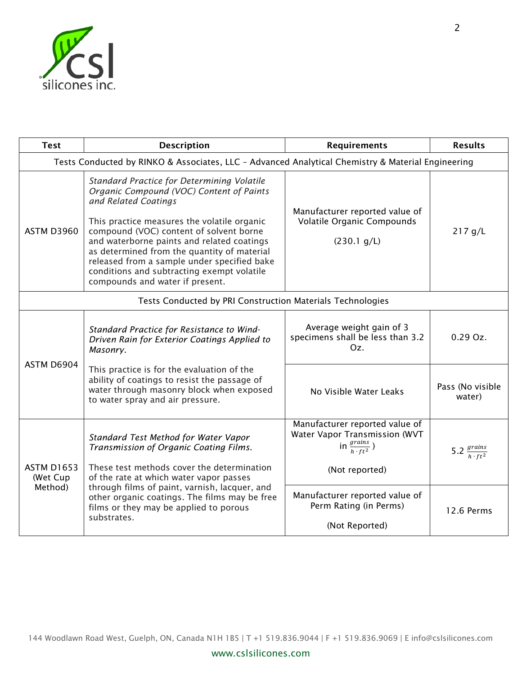

| <b>Test</b>                                                                                       | <b>Description</b>                                                                                                                                                                                                                                                                                                                                                                                                                           | <b>Requirements</b>                                                                                   | <b>Results</b>                    |  |  |
|---------------------------------------------------------------------------------------------------|----------------------------------------------------------------------------------------------------------------------------------------------------------------------------------------------------------------------------------------------------------------------------------------------------------------------------------------------------------------------------------------------------------------------------------------------|-------------------------------------------------------------------------------------------------------|-----------------------------------|--|--|
| Tests Conducted by RINKO & Associates, LLC - Advanced Analytical Chemistry & Material Engineering |                                                                                                                                                                                                                                                                                                                                                                                                                                              |                                                                                                       |                                   |  |  |
| <b>ASTM D3960</b>                                                                                 | <b>Standard Practice for Determining Volatile</b><br>Organic Compound (VOC) Content of Paints<br>and Related Coatings<br>This practice measures the volatile organic<br>compound (VOC) content of solvent borne<br>and waterborne paints and related coatings<br>as determined from the quantity of material<br>released from a sample under specified bake<br>conditions and subtracting exempt volatile<br>compounds and water if present. | Manufacturer reported value of<br>Volatile Organic Compounds<br>(230.1 g/L)                           | 217 g/L                           |  |  |
| Tests Conducted by PRI Construction Materials Technologies                                        |                                                                                                                                                                                                                                                                                                                                                                                                                                              |                                                                                                       |                                   |  |  |
| ASTM D6904                                                                                        | Standard Practice for Resistance to Wind-<br>Driven Rain for Exterior Coatings Applied to<br>Masonry.                                                                                                                                                                                                                                                                                                                                        | Average weight gain of 3<br>specimens shall be less than 3.2<br>Oz.                                   | $0.29Oz$ .                        |  |  |
|                                                                                                   | This practice is for the evaluation of the<br>ability of coatings to resist the passage of<br>water through masonry block when exposed<br>to water spray and air pressure.                                                                                                                                                                                                                                                                   | No Visible Water Leaks                                                                                | Pass (No visible<br>water)        |  |  |
| <b>ASTM D1653</b><br>(Wet Cup<br>Method)                                                          | Standard Test Method for Water Vapor<br>Transmission of Organic Coating Films.<br>These test methods cover the determination                                                                                                                                                                                                                                                                                                                 | Manufacturer reported value of<br>Water Vapor Transmission (WVT<br>in $\frac{grains}{h \cdot ft^2}$ ) | 5.2 $\frac{grains}{h \cdot ft^2}$ |  |  |
|                                                                                                   | of the rate at which water vapor passes<br>through films of paint, varnish, lacquer, and<br>other organic coatings. The films may be free<br>films or they may be applied to porous<br>substrates.                                                                                                                                                                                                                                           | (Not reported)                                                                                        |                                   |  |  |
|                                                                                                   |                                                                                                                                                                                                                                                                                                                                                                                                                                              | Manufacturer reported value of<br>Perm Rating (in Perms)                                              | 12.6 Perms                        |  |  |
|                                                                                                   |                                                                                                                                                                                                                                                                                                                                                                                                                                              | (Not Reported)                                                                                        |                                   |  |  |